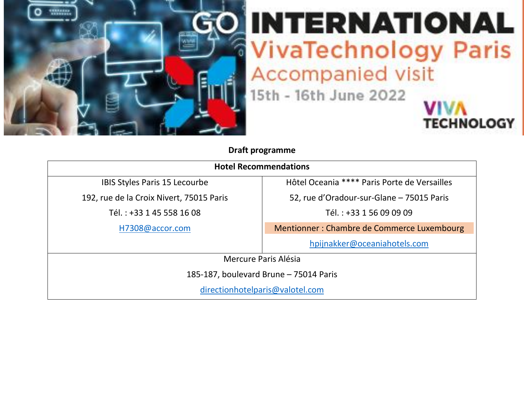

## **INTERNATIONAL VivaTechnology Paris Accompanied visit** 15th - 16th June 2022

**TECHNOLOGY** 



| <b>Hotel Recommendations</b>             |                                              |  |
|------------------------------------------|----------------------------------------------|--|
| IBIS Styles Paris 15 Lecourbe            | Hôtel Oceania **** Paris Porte de Versailles |  |
| 192, rue de la Croix Nivert, 75015 Paris | 52, rue d'Oradour-sur-Glane - 75015 Paris    |  |
| Tél.: +33 1 45 558 16 08                 | Tél.: +33 1 56 09 09 09                      |  |
| H7308@accor.com                          | Mentionner: Chambre de Commerce Luxembourg   |  |
|                                          | hpijnakker@oceaniahotels.com                 |  |
| Mercure Paris Alésia                     |                                              |  |
| 185-187, boulevard Brune - 75014 Paris   |                                              |  |
| directionhotelparis@valotel.com          |                                              |  |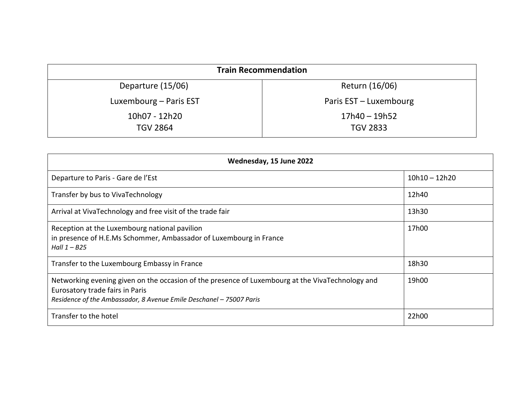| <b>Train Recommendation</b>      |                                    |  |
|----------------------------------|------------------------------------|--|
| Departure (15/06)                | Return (16/06)                     |  |
| Luxembourg – Paris EST           | Paris EST - Luxembourg             |  |
| 10h07 - 12h20<br><b>TGV 2864</b> | $17h40 - 19h52$<br><b>TGV 2833</b> |  |

| Wednesday, 15 June 2022                                                                                                                                                                                    |                 |  |
|------------------------------------------------------------------------------------------------------------------------------------------------------------------------------------------------------------|-----------------|--|
| Departure to Paris - Gare de l'Est                                                                                                                                                                         | $10h10 - 12h20$ |  |
| Transfer by bus to VivaTechnology                                                                                                                                                                          | 12h40           |  |
| Arrival at VivaTechnology and free visit of the trade fair                                                                                                                                                 | 13h30           |  |
| Reception at the Luxembourg national pavilion<br>in presence of H.E.Ms Schommer, Ambassador of Luxembourg in France<br>Hall $1 - B25$                                                                      | 17h00           |  |
| Transfer to the Luxembourg Embassy in France                                                                                                                                                               | 18h30           |  |
| Networking evening given on the occasion of the presence of Luxembourg at the VivaTechnology and<br>Eurosatory trade fairs in Paris<br>Residence of the Ambassador, 8 Avenue Emile Deschanel - 75007 Paris | 19h00           |  |
| Transfer to the hotel                                                                                                                                                                                      | 22h00           |  |